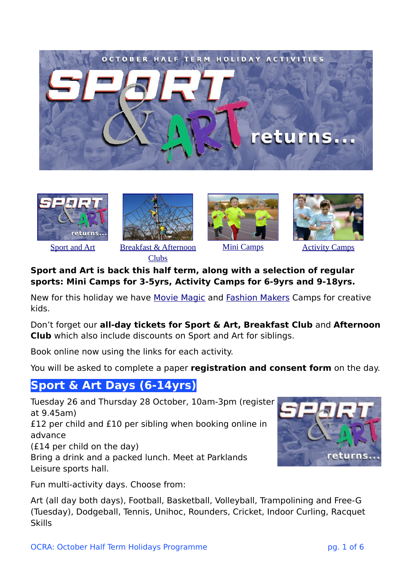





[Sport and Art](https://ocrasport.org.uk/holidays_oct2021-draft/?preview_id=523&preview_nonce=a565bfde7e&_thumbnail_id=28503&preview=true#sport-and-art) [Breakfast & Afternoon](https://ocrasport.org.uk/holidays_oct2021-draft/?preview_id=523&preview_nonce=a565bfde7e&_thumbnail_id=28503&preview=true#clubs) [Clubs](https://ocrasport.org.uk/holidays_oct2021-draft/?preview_id=523&preview_nonce=a565bfde7e&_thumbnail_id=28503&preview=true#clubs)





[Mini Camps](https://ocrasport.org.uk/holidays_oct2021-draft/?preview_id=523&preview_nonce=a565bfde7e&_thumbnail_id=28503&preview=true#mini-camps) **[Activity Camps](https://ocrasport.org.uk/holidays_oct2021-draft/?preview_id=523&preview_nonce=a565bfde7e&_thumbnail_id=28503&preview=true#activity-camps)** 

#### **Sport and Art is back this half term, along with a selection of regular sports: Mini Camps for 3-5yrs, Activity Camps for 6-9yrs and 9-18yrs.**

New for this holiday we have [Movie Magic](https://ocrasport.org.uk/holidays_oct2021-draft/?preview_id=523&preview_nonce=a565bfde7e&_thumbnail_id=28503&preview=true#activity-camps) and [Fashion Makers](https://ocrasport.org.uk/holidays_oct2021-draft/?preview_id=523&preview_nonce=a565bfde7e&_thumbnail_id=28503&preview=true#fashion) Camps for creative kids.

Don't forget our **all-day tickets for Sport & Art, Breakfast Club** and **Afternoon Club** which also include discounts on Sport and Art for siblings.

Book online now using the links for each activity.

You will be asked to complete a paper **registration and consent form** on the day.

## **Sport & Art Days (6-14yrs)**

Tuesday 26 and Thursday 28 October, 10am-3pm (register at 9.45am)

£12 per child and £10 per sibling when booking online in advance

(£14 per child on the day)

Bring a drink and a packed lunch. Meet at Parklands Leisure sports hall.

Fun multi-activity days. Choose from:

Art (all day both days), Football, Basketball, Volleyball, Trampolining and Free-G (Tuesday), Dodgeball, Tennis, Unihoc, Rounders, Cricket, Indoor Curling, Racquet Skills

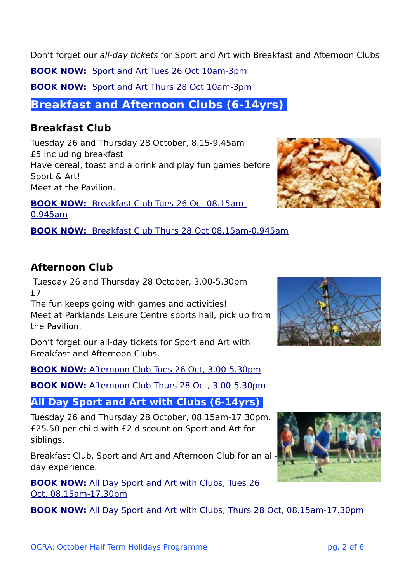Don't forget our all-day tickets for Sport and Art with Breakfast and Afternoon Clubs

**[BOOK NOW:](https://ocrasport.org.uk/product/sport-and-art-tues-27-oct-21-9-45am-3pm/)** Sport and Art Tues 26 Oct 10am-3pm

**[BOOK NOW:](https://ocrasport.org.uk/product/sport-and-art-thurs-29-oct-21-9-45am-3pm/)** Sport and Art Thurs 28 Oct 10am-3pm

**Breakfast and Afternoon Clubs (6-14yrs)** 

### **Breakfast Club**

Tuesday 26 and Thursday 28 October, 8.15-9.45am £5 including breakfast Have cereal, toast and a drink and play fun games before Sport & Art! Meet at the Pavilion.

**[BOOK NOW:](https://ocrasport.org.uk/product/autumn-breakfast-club-thurs-27-oct-21-8-15-9-45/)** Breakfast Club Tues 26 Oct 08.15am-[0.945am](https://ocrasport.org.uk/product/autumn-breakfast-club-thurs-27-oct-21-8-15-9-45/)

**[BOOK NOW:](https://ocrasport.org.uk/product/autumn-breakfast-club-thurs-29-oct-21-8-15-9-45am/)** Breakfast Club Thurs 28 Oct 08.15am-0.945am

### **Afternoon Club**

 Tuesday 26 and Thursday 28 October, 3.00-5.30pm £7

The fun keeps going with games and activities! Meet at Parklands Leisure Centre sports hall, pick up from the Pavilion.

Don't forget our all-day tickets for Sport and Art with Breakfast and Afternoon Clubs.

**[BOOK NOW:](https://ocrasport.org.uk/product/afternoon-club-6-14yrs-tues-27-oct-2021-3-5-30pm/) Afternoon Club Tues 26 Oct. 3.00-5.30pm** 

**[BOOK NOW:](https://ocrasport.org.uk/product/afternoon-club-6-14yrs-thurs-29-oct-2021-3-5-30pm/) Afternoon Club Thurs 28 Oct, 3.00-5.30pm** 

# **All Day Sport and Art with Clubs (6-14yrs)**

Tuesday 26 and Thursday 28 October, 08.15am-17.30pm. £25.50 per child with £2 discount on Sport and Art for siblings.

Breakfast Club, Sport and Art and Afternoon Club for an allday experience.

**[BOOK NOW:](https://ocrasport.org.uk/product/sport-and-art-breakfast-afternoon-clubs-tues-27-oct-2021-8-15am-5-30pm/)** All Day Sport and Art with Clubs, Tues 26 [Oct, 08.15am-17.30pm](https://ocrasport.org.uk/product/sport-and-art-breakfast-afternoon-clubs-tues-27-oct-2021-8-15am-5-30pm/)

**[BOOK NOW:](https://ocrasport.org.uk/product/sport-and-art-breakfast-afternoon-clubs-thu-29-oct-2021-8-15am-5-30pm/)** All Day Sport and Art with Clubs, Thurs 28 Oct, 08.15am-17.30pm





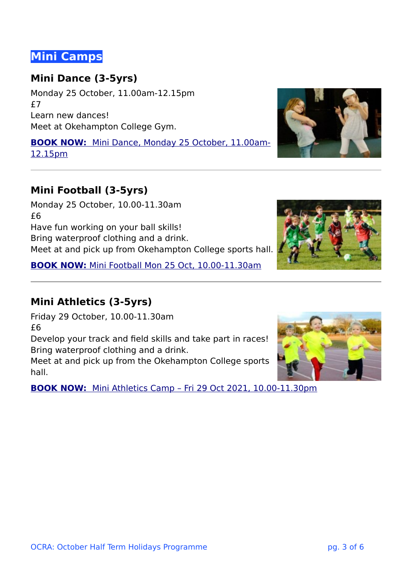# **Mini Camps**

### **Mini Dance (3-5yrs)**

Monday 25 October, 11.00am-12.15pm £7 Learn new dances! Meet at Okehampton College Gym.

**[BOOK NOW:](https://ocrasport.org.uk/product/mini-dance-fri-30-0ct21-11-1215/)** Mini Dance, Monday 25 October, 11.00am-[12.15pm](https://ocrasport.org.uk/product/mini-dance-fri-30-0ct21-11-1215/)

#### **Mini Football (3-5yrs)**

Monday 25 October, 10.00-11.30am £6 Have fun working on your ball skills! Bring waterproof clothing and a drink. Meet at and pick up from Okehampton College sports hall.

**[BOOK NOW:](https://ocrasport.org.uk/product/mini-football-camp-mon-26-oct21-10-1130/)** Mini Football Mon 25 Oct, 10.00-11.30am

#### **Mini Athletics (3-5yrs)**

Friday 29 October, 10.00-11.30am £6

Develop your track and field skills and take part in races! Bring waterproof clothing and a drink.

Meet at and pick up from the Okehampton College sports hall.

**[BOOK NOW:](https://ocrasport.org.uk/product/mini-athletics-camp-fri-30-oct-10-1130/)** [Mini Athletics Camp – Fri 29 Oct 2021, 10.00-11.30pm](https://ocrasport.org.uk/product/mini-athletics-camp-fri-30-oct-10-1130/)





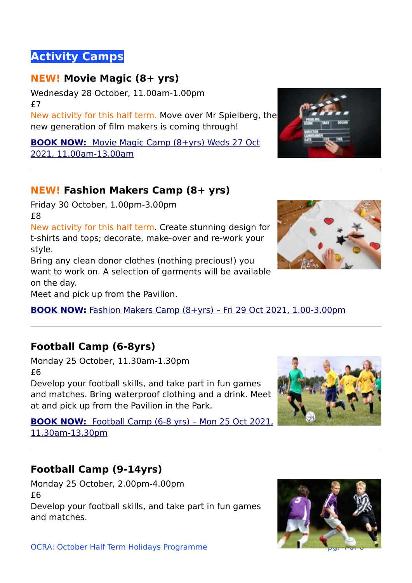# **Activity Camps**

# **NEW! Movie Magic (8+ yrs)**

Wednesday 28 October, 11.00am-1.00pm £7

New activity for this half term. Move over Mr Spielberg, the new generation of film makers is coming through!

**[BOOK NOW:](https://ocrasport.org.uk/product/movie-magic-28-oct-2021/)** Movie Magic Camp (8+yrs) Weds 27 Oct [2021, 11.00am-13.00am](https://ocrasport.org.uk/product/movie-magic-28-oct-2021/)

### **NEW! Fashion Makers Camp (8+ yrs)**

Friday 30 October, 1.00pm-3.00pm £8

New activity for this half term. Create stunning design for t-shirts and tops; decorate, make-over and re-work your style.

Bring any clean donor clothes (nothing precious!) you want to work on. A selection of garments will be available on the day.

Meet and pick up from the Pavilion.

**[BOOK NOW:](https://ocrasport.org.uk/product/fashion-makers-camp-8yrs-fri-30-oct-2021-1-00-3-00pm/)** [Fashion Makers Camp \(8+yrs\) – Fri 29 Oct 2021, 1.00-3.00pm](https://ocrasport.org.uk/product/fashion-makers-camp-8yrs-fri-30-oct-2021-1-00-3-00pm/)

## **Football Camp (6-8yrs)**

Monday 25 October, 11.30am-1.30pm £6

Develop your football skills, and take part in fun games and matches. Bring waterproof clothing and a drink. Meet at and pick up from the Pavilion in the Park.

**[BOOK NOW:](https://ocrasport.org.uk/product/football-camp-mon-26oct21-1130-1330/)** Football Camp (6-8 yrs) – Mon 25 Oct 2021, [11.30am-13.30pm](https://ocrasport.org.uk/product/football-camp-mon-26oct21-1130-1330/)

### **Football Camp (9-14yrs)**

Monday 25 October, 2.00pm-4.00pm £6 Develop your football skills, and take part in fun games and matches.







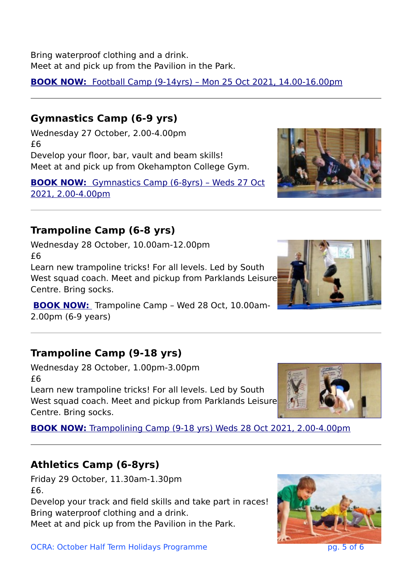Bring waterproof clothing and a drink. Meet at and pick up from the Pavilion in the Park.

**[BOOK NOW:](https://ocrasport.org.uk/product/football-camp-mon-26oct21-1400-1600/)** Football Camp (9-14yrs) – Mon 25 Oct 2021, 14.00-16.00pm

### **Gymnastics Camp (6-9 yrs)**

Wednesday 27 October, 2.00-4.00pm £6 Develop your floor, bar, vault and beam skills! Meet at and pick up from Okehampton College Gym.

**[BOOK NOW:](https://ocrasport.org.uk/product/gymnastics-camp-wed-28oct21-2-4/)** Gymnastics Camp (6-8yrs) – Weds 27 Oct [2021, 2.00-4.00pm](https://ocrasport.org.uk/product/gymnastics-camp-wed-28oct21-2-4/)

## **Trampoline Camp (6-8 yrs)**

Wednesday 28 October, 10.00am-12.00pm  $£6$ 

Learn new trampoline tricks! For all levels. Led by South West squad coach. Meet and pickup from Parklands Leisure Centre. Bring socks.

 **[BOOK NOW:](https://ocrasport.org.uk/?post_type=product&p=28474&preview=true)** Trampoline Camp – Wed 28 Oct, 10.00am-2.00pm (6-9 years)

## **Trampoline Camp (9-18 yrs)**

Wednesday 28 October, 1.00pm-3.00pm £6

Learn new trampoline tricks! For all levels. Led by South West squad coach. Meet and pickup from Parklands Leisure Centre. Bring socks.

**[BOOK NOW:](https://ocrasport.org.uk/product/trampolining-camp-9-18-yrs-weds-28-oct-2021-2-00-4-00pm/)** [Trampolining Camp \(9-18 yrs\) Weds 28 Oct 2021, 2.00-4.00pm](https://ocrasport.org.uk/product/trampolining-camp-9-18-yrs-weds-28-oct-2021-2-00-4-00pm/)

# **Athletics Camp (6-8yrs)**

Friday 29 October, 11.30am-1.30pm £6.

Develop your track and field skills and take part in races! Bring waterproof clothing and a drink.

Meet at and pick up from the Pavilion in the Park.